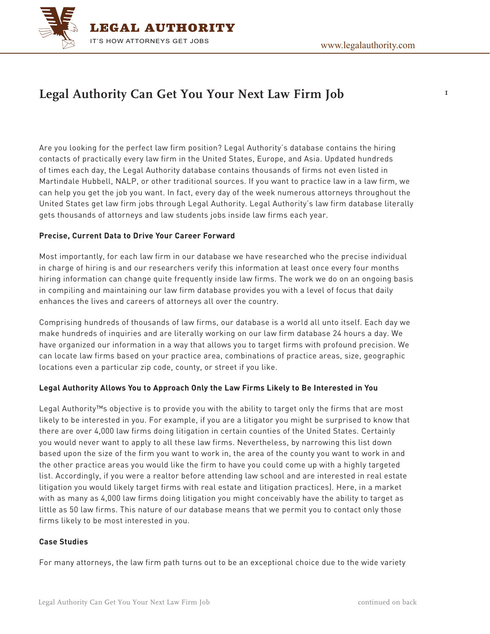$\mathbf I$ 



# **Legal Authority Can Get You Your Next Law Firm Job**

Are you looking for the perfect law firm position? Legal Authority's database contains the hiring contacts of practically every law firm in the United States, Europe, and Asia. Updated hundreds of times each day, the Legal Authority database contains thousands of firms not even listed in Martindale Hubbell, NALP, or other traditional sources. If you want to practice law in a law firm, we can help you get the job you want. In fact, every day of the week numerous attorneys throughout the United States get law firm jobs through Legal Authority. Legal Authority's law firm database literally gets thousands of attorneys and law students jobs inside law firms each year.

### **Precise, Current Data to Drive Your Career Forward**

Most importantly, for each law firm in our database we have researched who the precise individual in charge of hiring is and our researchers verify this information at least once every four months hiring information can change quite frequently inside law firms. The work we do on an ongoing basis in compiling and maintaining our law firm database provides you with a level of focus that daily enhances the lives and careers of attorneys all over the country.

Comprising hundreds of thousands of law firms, our database is a world all unto itself. Each day we make hundreds of inquiries and are literally working on our law firm database 24 hours a day. We have organized our information in a way that allows you to target firms with profound precision. We can locate law firms based on your practice area, combinations of practice areas, size, geographic locations even a particular zip code, county, or street if you like.

#### **Legal Authority Allows You to Approach Only the Law Firms Likely to Be Interested in You**

Legal Authority™s objective is to provide you with the ability to target only the firms that are most likely to be interested in you. For example, if you are a litigator you might be surprised to know that there are over 4,000 law firms doing litigation in certain counties of the United States. Certainly you would never want to apply to all these law firms. Nevertheless, by narrowing this list down based upon the size of the firm you want to work in, the area of the county you want to work in and the other practice areas you would like the firm to have you could come up with a highly targeted list. Accordingly, if you were a realtor before attending law school and are interested in real estate litigation you would likely target firms with real estate and litigation practices). Here, in a market with as many as 4,000 law firms doing litigation you might conceivably have the ability to target as little as 50 law firms. This nature of our database means that we permit you to contact only those firms likely to be most interested in you.

#### **Case Studies**

For many attorneys, the law firm path turns out to be an exceptional choice due to the wide variety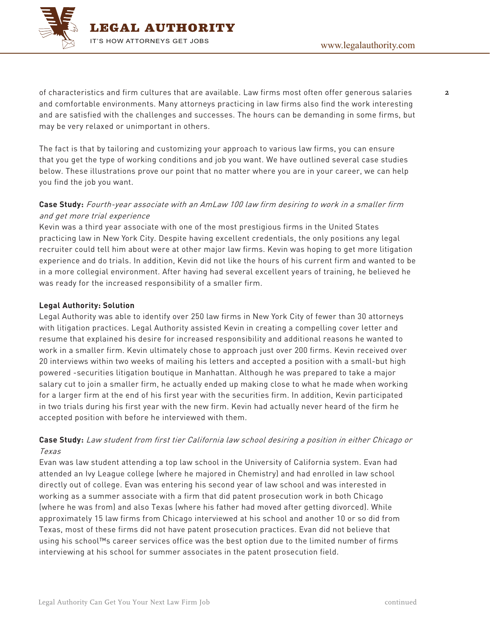

 $\overline{a}$ 

of characteristics and firm cultures that are available. Law firms most often offer generous salaries and comfortable environments. Many attorneys practicing in law firms also find the work interesting and are satisfied with the challenges and successes. The hours can be demanding in some firms, but may be very relaxed or unimportant in others.

The fact is that by tailoring and customizing your approach to various law firms, you can ensure that you get the type of working conditions and job you want. We have outlined several case studies below. These illustrations prove our point that no matter where you are in your career, we can help you find the job you want.

## **Case Study:** Fourth-year associate with an AmLaw 100 law firm desiring to work in a smaller firm and get more trial experience

Kevin was a third year associate with one of the most prestigious firms in the United States practicing law in New York City. Despite having excellent credentials, the only positions any legal recruiter could tell him about were at other major law firms. Kevin was hoping to get more litigation experience and do trials. In addition, Kevin did not like the hours of his current firm and wanted to be in a more collegial environment. After having had several excellent years of training, he believed he was ready for the increased responsibility of a smaller firm.

### **Legal Authority: Solution**

Legal Authority was able to identify over 250 law firms in New York City of fewer than 30 attorneys with litigation practices. Legal Authority assisted Kevin in creating a compelling cover letter and resume that explained his desire for increased responsibility and additional reasons he wanted to work in a smaller firm. Kevin ultimately chose to approach just over 200 firms. Kevin received over 20 interviews within two weeks of mailing his letters and accepted a position with a small-but high powered -securities litigation boutique in Manhattan. Although he was prepared to take a major salary cut to join a smaller firm, he actually ended up making close to what he made when working for a larger firm at the end of his first year with the securities firm. In addition, Kevin participated in two trials during his first year with the new firm. Kevin had actually never heard of the firm he accepted position with before he interviewed with them.

## **Case Study:** Law student from first tier California law school desiring a position in either Chicago or Texas

Evan was law student attending a top law school in the University of California system. Evan had attended an Ivy League college (where he majored in Chemistry) and had enrolled in law school directly out of college. Evan was entering his second year of law school and was interested in working as a summer associate with a firm that did patent prosecution work in both Chicago (where he was from) and also Texas (where his father had moved after getting divorced). While approximately 15 law firms from Chicago interviewed at his school and another 10 or so did from Texas, most of these firms did not have patent prosecution practices. Evan did not believe that using his school™s career services office was the best option due to the limited number of firms interviewing at his school for summer associates in the patent prosecution field.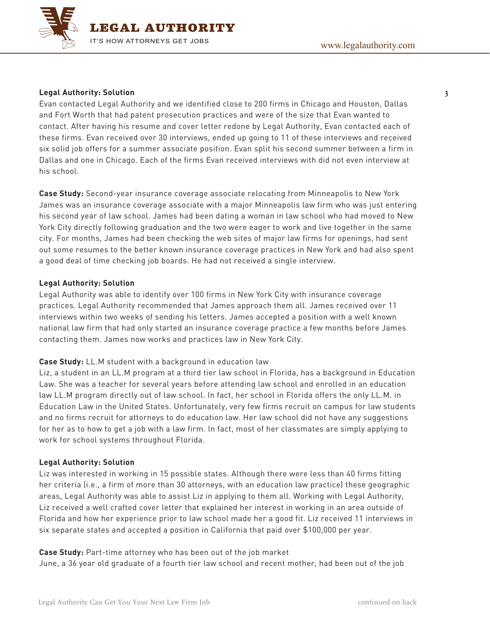

#### **Legal Authority: Solution**

Evan contacted Legal Authority and we identified close to 200 firms in Chicago and Houston, Dallas and Fort Worth that had patent prosecution practices and were of the size that Evan wanted to contact. After having his resume and cover letter redone by Legal Authority, Evan contacted each of these firms. Evan received over 30 interviews, ended up going to 11 of these interviews and received six solid job offers for a summer associate position. Evan split his second summer between a firm in Dallas and one in Chicago. Each of the firms Evan received interviews with did not even interview at his school.

**Case Study:** Second-year insurance coverage associate relocating from Minneapolis to New York James was an insurance coverage associate with a major Minneapolis law firm who was just entering his second year of law school. James had been dating a woman in law school who had moved to New York City directly following graduation and the two were eager to work and live together in the same city. For months, James had been checking the web sites of major law firms for openings, had sent out some resumes to the better known insurance coverage practices in New York and had also spent a good deal of time checking job boards. He had not received a single interview.

#### **Legal Authority: Solution**

Legal Authority was able to identify over 100 firms in New York City with insurance coverage practices. Legal Authority recommended that James approach them all. James received over 11 interviews within two weeks of sending his letters. James accepted a position with a well known national law firm that had only started an insurance coverage practice a few months before James contacting them. James now works and practices law in New York City.

#### **Case Study:** LL.M student with a background in education law

Liz, a student in an LL.M program at a third tier law school in Florida, has a background in Education Law. She was a teacher for several years before attending law school and enrolled in an education law LL.M program directly out of law school. In fact, her school in Florida offers the only LL.M. in Education Law in the United States. Unfortunately, very few firms recruit on campus for law students and no firms recruit for attorneys to do education law. Her law school did not have any suggestions for her as to how to get a job with a law firm. In fact, most of her classmates are simply applying to work for school systems throughout Florida.

#### **Legal Authority: Solution**

Liz was interested in working in 15 possible states. Although there were less than 40 firms fitting her criteria (i.e., a firm of more than 30 attorneys, with an education law practice) these geographic areas, Legal Authority was able to assist Liz in applying to them all. Working with Legal Authority, Liz received a well crafted cover letter that explained her interest in working in an area outside of Florida and how her experience prior to law school made her a good fit. Liz received 11 interviews in six separate states and accepted a position in California that paid over \$100,000 per year.

**Case Study:** Part-time attorney who has been out of the job market June, a 36 year old graduate of a fourth tier law school and recent mother, had been out of the job